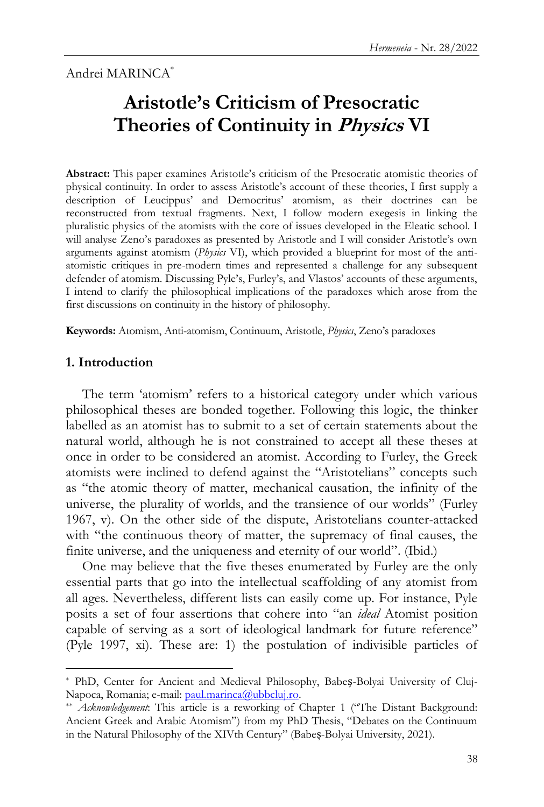Andrei MARINCA\*

# **Aristotle's Criticism of Presocratic Theories of Continuity in Physics VI**

Abstract: This paper examines Aristotle's criticism of the Presocratic atomistic theories of physical continuity. In order to assess Aristotle"s account of these theories, I first supply a description of Leucippus" and Democritus" atomism, as their doctrines can be reconstructed from textual fragments. Next, I follow modern exegesis in linking the pluralistic physics of the atomists with the core of issues developed in the Eleatic school. I will analyse Zeno's paradoxes as presented by Aristotle and I will consider Aristotle's own arguments against atomism (*Physics* VI), which provided a blueprint for most of the antiatomistic critiques in pre-modern times and represented a challenge for any subsequent defender of atomism. Discussing Pyle's, Furley's, and Vlastos' accounts of these arguments, I intend to clarify the philosophical implications of the paradoxes which arose from the first discussions on continuity in the history of philosophy.

**Keywords:** Atomism, Anti-atomism, Continuum, Aristotle, *Physics*, Zeno"s paradoxes

#### **1. Introduction**

 $\overline{a}$ 

The term "atomism" refers to a historical category under which various philosophical theses are bonded together. Following this logic, the thinker labelled as an atomist has to submit to a set of certain statements about the natural world, although he is not constrained to accept all these theses at once in order to be considered an atomist. According to Furley, the Greek atomists were inclined to defend against the "Aristotelians" concepts such as "the atomic theory of matter, mechanical causation, the infinity of the universe, the plurality of worlds, and the transience of our worlds" (Furley 1967, v). On the other side of the dispute, Aristotelians counter-attacked with "the continuous theory of matter, the supremacy of final causes, the finite universe, and the uniqueness and eternity of our world". (Ibid.)

One may believe that the five theses enumerated by Furley are the only essential parts that go into the intellectual scaffolding of any atomist from all ages. Nevertheless, different lists can easily come up. For instance, Pyle posits a set of four assertions that cohere into "an *ideal* Atomist position capable of serving as a sort of ideological landmark for future reference" (Pyle 1997, xi). These are: 1) the postulation of indivisible particles of

<sup>\*</sup> PhD, Center for Ancient and Medieval Philosophy, Babeș-Bolyai University of ClujNapoca, Romania; e-mail: [paul.marinca@ubbcluj.ro.](mailto:paul.marinca@ubbcluj.ro)

<sup>\*\*</sup> *Acknowledgement*: This article is a reworking of Chapter 1 ("The Distant Background: Ancient Greek and Arabic Atomism") from my PhD Thesis, "Debates on the Continuum in the Natural Philosophy of the XIVth Century" (Babeș-Bolyai University, 2021).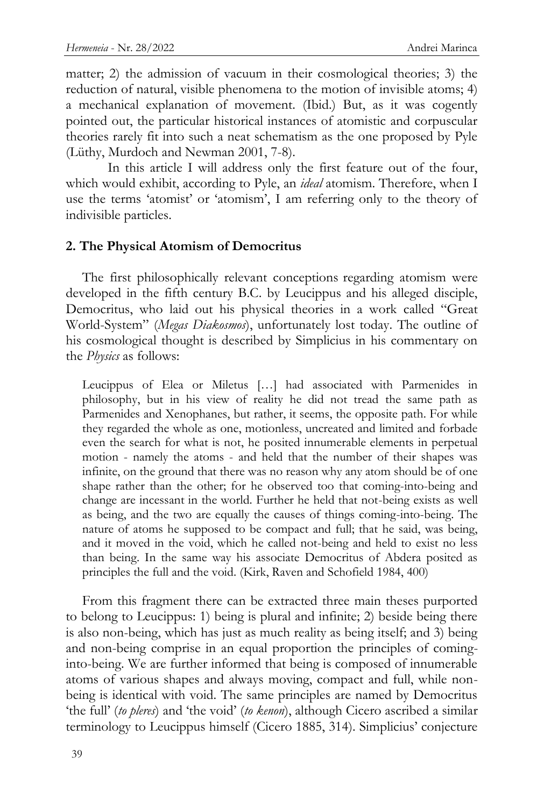matter; 2) the admission of vacuum in their cosmological theories; 3) the reduction of natural, visible phenomena to the motion of invisible atoms; 4) a mechanical explanation of movement. (Ibid.) But, as it was cogently pointed out, the particular historical instances of atomistic and corpuscular theories rarely fit into such a neat schematism as the one proposed by Pyle (Lüthy, Murdoch and Newman 2001, 7-8).

In this article I will address only the first feature out of the four, which would exhibit, according to Pyle, an *ideal* atomism. Therefore, when I use the terms "atomist" or "atomism", I am referring only to the theory of indivisible particles.

## **2. The Physical Atomism of Democritus**

The first philosophically relevant conceptions regarding atomism were developed in the fifth century B.C. by Leucippus and his alleged disciple, Democritus, who laid out his physical theories in a work called "Great World-System" (*Megas Diakosmos*), unfortunately lost today. The outline of his cosmological thought is described by Simplicius in his commentary on the *Physics* as follows:

Leucippus of Elea or Miletus […] had associated with Parmenides in philosophy, but in his view of reality he did not tread the same path as Parmenides and Xenophanes, but rather, it seems, the opposite path. For while they regarded the whole as one, motionless, uncreated and limited and forbade even the search for what is not, he posited innumerable elements in perpetual motion - namely the atoms - and held that the number of their shapes was infinite, on the ground that there was no reason why any atom should be of one shape rather than the other; for he observed too that coming-into-being and change are incessant in the world. Further he held that not-being exists as well as being, and the two are equally the causes of things coming-into-being. The nature of atoms he supposed to be compact and full; that he said, was being, and it moved in the void, which he called not-being and held to exist no less than being. In the same way his associate Democritus of Abdera posited as principles the full and the void. (Kirk, Raven and Schofield 1984, 400)

From this fragment there can be extracted three main theses purported to belong to Leucippus: 1) being is plural and infinite; 2) beside being there is also non-being, which has just as much reality as being itself; and 3) being and non-being comprise in an equal proportion the principles of cominginto-being. We are further informed that being is composed of innumerable atoms of various shapes and always moving, compact and full, while nonbeing is identical with void. The same principles are named by Democritus "the full" (*to pleres*) and "the void" (*to kenon*), although Cicero ascribed a similar terminology to Leucippus himself (Cicero 1885, 314). Simplicius' conjecture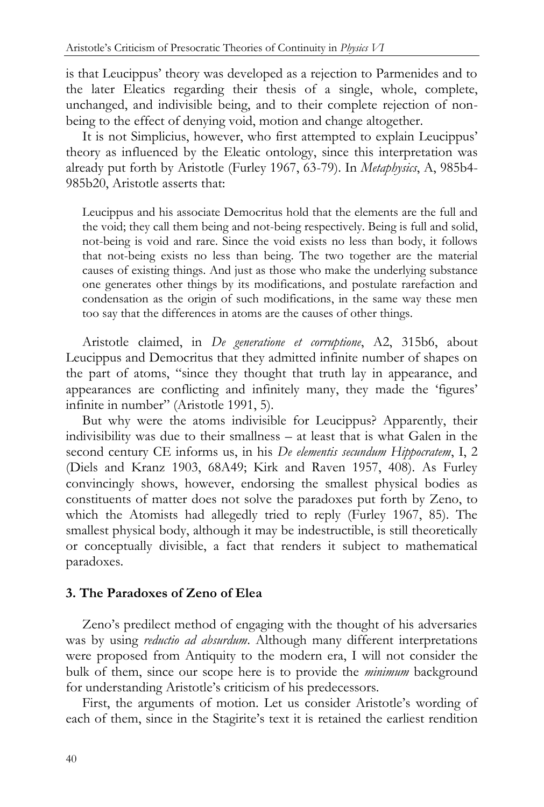is that Leucippus" theory was developed as a rejection to Parmenides and to the later Eleatics regarding their thesis of a single, whole, complete, unchanged, and indivisible being, and to their complete rejection of nonbeing to the effect of denying void, motion and change altogether.

It is not Simplicius, however, who first attempted to explain Leucippus' theory as influenced by the Eleatic ontology, since this interpretation was already put forth by Aristotle (Furley 1967, 63-79). In *Metaphysics*, A, 985b4- 985b20, Aristotle asserts that:

Leucippus and his associate Democritus hold that the elements are the full and the void; they call them being and not-being respectively. Being is full and solid, not-being is void and rare. Since the void exists no less than body, it follows that not-being exists no less than being. The two together are the material causes of existing things. And just as those who make the underlying substance one generates other things by its modifications, and postulate rarefaction and condensation as the origin of such modifications, in the same way these men too say that the differences in atoms are the causes of other things.

Aristotle claimed, in *De generatione et corruptione*, A2, 315b6, about Leucippus and Democritus that they admitted infinite number of shapes on the part of atoms, "since they thought that truth lay in appearance, and appearances are conflicting and infinitely many, they made the 'figures' infinite in number" (Aristotle 1991, 5).

But why were the atoms indivisible for Leucippus? Apparently, their indivisibility was due to their smallness – at least that is what Galen in the second century CE informs us, in his *De elementis secundum Hippocratem*, I, 2 (Diels and Kranz 1903, 68A49; Kirk and Raven 1957, 408). As Furley convincingly shows, however, endorsing the smallest physical bodies as constituents of matter does not solve the paradoxes put forth by Zeno, to which the Atomists had allegedly tried to reply (Furley 1967, 85). The smallest physical body, although it may be indestructible, is still theoretically or conceptually divisible, a fact that renders it subject to mathematical paradoxes.

#### **3. The Paradoxes of Zeno of Elea**

Zeno"s predilect method of engaging with the thought of his adversaries was by using *reductio ad absurdum*. Although many different interpretations were proposed from Antiquity to the modern era, I will not consider the bulk of them, since our scope here is to provide the *minimum* background for understanding Aristotle"s criticism of his predecessors.

First, the arguments of motion. Let us consider Aristotle's wording of each of them, since in the Stagirite's text it is retained the earliest rendition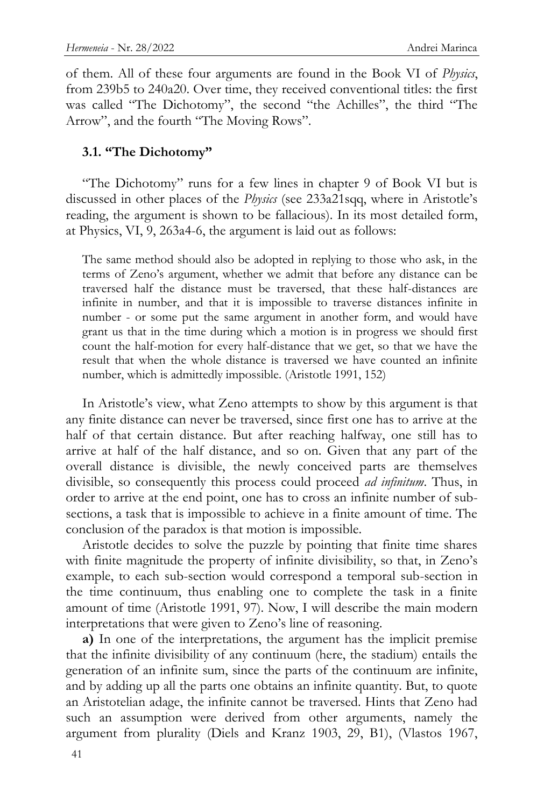of them. All of these four arguments are found in the Book VI of *Physics*, from 239b5 to 240a20. Over time, they received conventional titles: the first was called "The Dichotomy", the second "the Achilles", the third "The Arrow", and the fourth "The Moving Rows".

# **3.1. "The Dichotomy"**

"The Dichotomy" runs for a few lines in chapter 9 of Book VI but is discussed in other places of the *Physics* (see 233a21sqq, where in Aristotle"s reading, the argument is shown to be fallacious). In its most detailed form, at Physics, VI, 9, 263a4-6, the argument is laid out as follows:

The same method should also be adopted in replying to those who ask, in the terms of Zeno's argument, whether we admit that before any distance can be traversed half the distance must be traversed, that these half-distances are infinite in number, and that it is impossible to traverse distances infinite in number - or some put the same argument in another form, and would have grant us that in the time during which a motion is in progress we should first count the half-motion for every half-distance that we get, so that we have the result that when the whole distance is traversed we have counted an infinite number, which is admittedly impossible. (Aristotle 1991, 152)

In Aristotle"s view, what Zeno attempts to show by this argument is that any finite distance can never be traversed, since first one has to arrive at the half of that certain distance. But after reaching halfway, one still has to arrive at half of the half distance, and so on. Given that any part of the overall distance is divisible, the newly conceived parts are themselves divisible, so consequently this process could proceed *ad infinitum*. Thus, in order to arrive at the end point, one has to cross an infinite number of subsections, a task that is impossible to achieve in a finite amount of time. The conclusion of the paradox is that motion is impossible.

Aristotle decides to solve the puzzle by pointing that finite time shares with finite magnitude the property of infinite divisibility, so that, in Zeno's example, to each sub-section would correspond a temporal sub-section in the time continuum, thus enabling one to complete the task in a finite amount of time (Aristotle 1991, 97). Now, I will describe the main modern interpretations that were given to Zeno"s line of reasoning.

**a)** In one of the interpretations, the argument has the implicit premise that the infinite divisibility of any continuum (here, the stadium) entails the generation of an infinite sum, since the parts of the continuum are infinite, and by adding up all the parts one obtains an infinite quantity. But, to quote an Aristotelian adage, the infinite cannot be traversed. Hints that Zeno had such an assumption were derived from other arguments, namely the argument from plurality (Diels and Kranz 1903, 29, B1), (Vlastos 1967,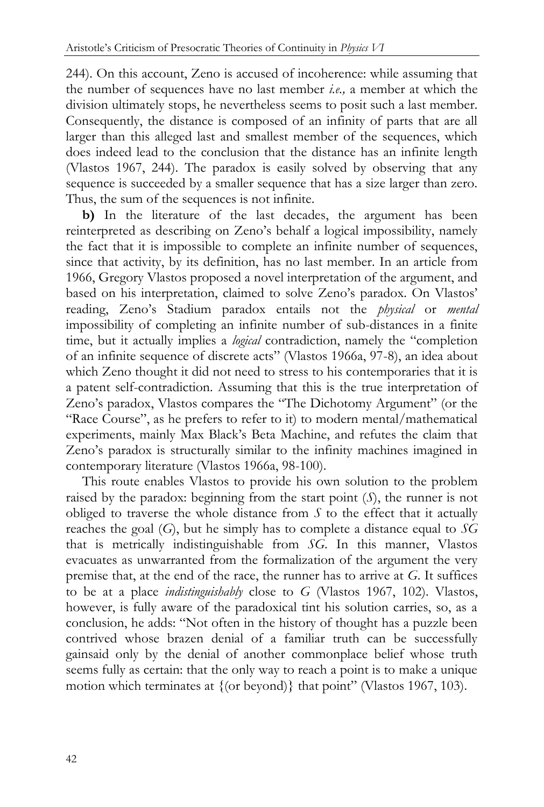244). On this account, Zeno is accused of incoherence: while assuming that the number of sequences have no last member *i.e.,* a member at which the division ultimately stops, he nevertheless seems to posit such a last member. Consequently, the distance is composed of an infinity of parts that are all larger than this alleged last and smallest member of the sequences, which does indeed lead to the conclusion that the distance has an infinite length (Vlastos 1967, 244). The paradox is easily solved by observing that any sequence is succeeded by a smaller sequence that has a size larger than zero. Thus, the sum of the sequences is not infinite.

**b)** In the literature of the last decades, the argument has been reinterpreted as describing on Zeno"s behalf a logical impossibility, namely the fact that it is impossible to complete an infinite number of sequences, since that activity, by its definition, has no last member. In an article from 1966, Gregory Vlastos proposed a novel interpretation of the argument, and based on his interpretation, claimed to solve Zeno's paradox. On Vlastos' reading, Zeno"s Stadium paradox entails not the *physical* or *mental* impossibility of completing an infinite number of sub-distances in a finite time, but it actually implies a *logical* contradiction, namely the "completion of an infinite sequence of discrete acts" (Vlastos 1966a, 97-8), an idea about which Zeno thought it did not need to stress to his contemporaries that it is a patent self-contradiction. Assuming that this is the true interpretation of Zeno"s paradox, Vlastos compares the "The Dichotomy Argument" (or the "Race Course", as he prefers to refer to it) to modern mental/mathematical experiments, mainly Max Black"s Beta Machine, and refutes the claim that Zeno"s paradox is structurally similar to the infinity machines imagined in contemporary literature (Vlastos 1966a, 98-100).

This route enables Vlastos to provide his own solution to the problem raised by the paradox: beginning from the start point (*S*), the runner is not obliged to traverse the whole distance from *S* to the effect that it actually reaches the goal (*G*), but he simply has to complete a distance equal to *SG* that is metrically indistinguishable from *SG*. In this manner, Vlastos evacuates as unwarranted from the formalization of the argument the very premise that, at the end of the race, the runner has to arrive at *G*. It suffices to be at a place *indistinguishably* close to *G* (Vlastos 1967, 102). Vlastos, however, is fully aware of the paradoxical tint his solution carries, so, as a conclusion, he adds: "Not often in the history of thought has a puzzle been contrived whose brazen denial of a familiar truth can be successfully gainsaid only by the denial of another commonplace belief whose truth seems fully as certain: that the only way to reach a point is to make a unique motion which terminates at {(or beyond)} that point" (Vlastos 1967, 103).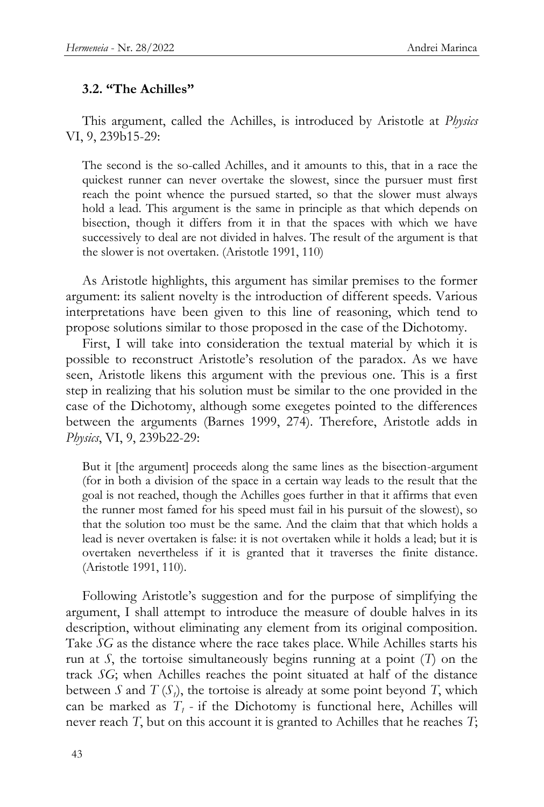## **3.2. "The Achilles"**

This argument, called the Achilles, is introduced by Aristotle at *Physics* VI, 9, 239b15-29:

The second is the so-called Achilles, and it amounts to this, that in a race the quickest runner can never overtake the slowest, since the pursuer must first reach the point whence the pursued started, so that the slower must always hold a lead. This argument is the same in principle as that which depends on bisection, though it differs from it in that the spaces with which we have successively to deal are not divided in halves. The result of the argument is that the slower is not overtaken. (Aristotle 1991, 110)

As Aristotle highlights, this argument has similar premises to the former argument: its salient novelty is the introduction of different speeds. Various interpretations have been given to this line of reasoning, which tend to propose solutions similar to those proposed in the case of the Dichotomy.

First, I will take into consideration the textual material by which it is possible to reconstruct Aristotle"s resolution of the paradox. As we have seen, Aristotle likens this argument with the previous one. This is a first step in realizing that his solution must be similar to the one provided in the case of the Dichotomy, although some exegetes pointed to the differences between the arguments (Barnes 1999, 274). Therefore, Aristotle adds in *Physics*, VI, 9, 239b22-29:

But it [the argument] proceeds along the same lines as the bisection-argument (for in both a division of the space in a certain way leads to the result that the goal is not reached, though the Achilles goes further in that it affirms that even the runner most famed for his speed must fail in his pursuit of the slowest), so that the solution too must be the same. And the claim that that which holds a lead is never overtaken is false: it is not overtaken while it holds a lead; but it is overtaken nevertheless if it is granted that it traverses the finite distance. (Aristotle 1991, 110).

Following Aristotle"s suggestion and for the purpose of simplifying the argument, I shall attempt to introduce the measure of double halves in its description, without eliminating any element from its original composition. Take *SG* as the distance where the race takes place. While Achilles starts his run at *S*, the tortoise simultaneously begins running at a point (*T*) on the track *SG*; when Achilles reaches the point situated at half of the distance between *S* and  $T(S_i)$ , the tortoise is already at some point beyond *T*, which can be marked as  $T<sub>1</sub>$  - if the Dichotomy is functional here, Achilles will never reach *T*, but on this account it is granted to Achilles that he reaches *T*;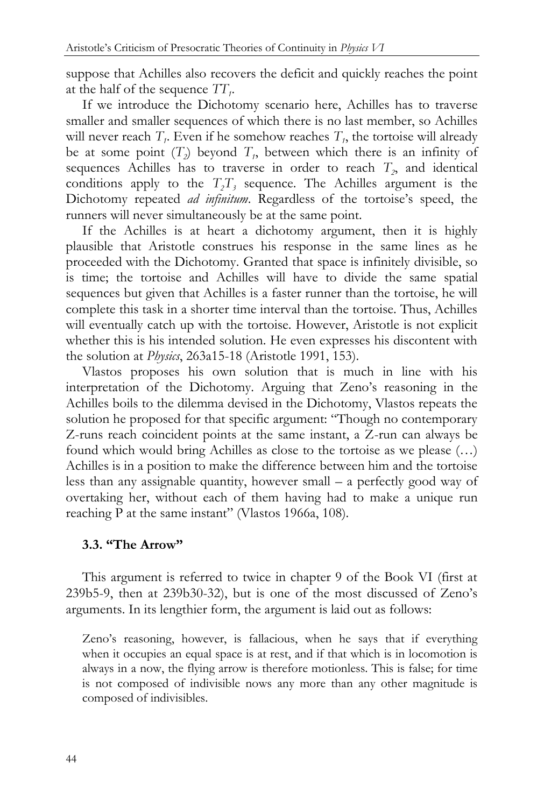suppose that Achilles also recovers the deficit and quickly reaches the point at the half of the sequence *TT<sup>1</sup>* .

If we introduce the Dichotomy scenario here, Achilles has to traverse smaller and smaller sequences of which there is no last member, so Achilles will never reach  $T_t$ . Even if he somehow reaches  $T_t$ , the tortoise will already be at some point  $(T_2)$  beyond  $T_1$ , between which there is an infinity of sequences Achilles has to traverse in order to reach  $T_2$ , and identical conditions apply to the  $T_2T_3$  sequence. The Achilles argument is the Dichotomy repeated *ad infinitum*. Regardless of the tortoise's speed, the runners will never simultaneously be at the same point.

If the Achilles is at heart a dichotomy argument, then it is highly plausible that Aristotle construes his response in the same lines as he proceeded with the Dichotomy. Granted that space is infinitely divisible, so is time; the tortoise and Achilles will have to divide the same spatial sequences but given that Achilles is a faster runner than the tortoise, he will complete this task in a shorter time interval than the tortoise. Thus, Achilles will eventually catch up with the tortoise. However, Aristotle is not explicit whether this is his intended solution. He even expresses his discontent with the solution at *Physics*, 263a15-18 (Aristotle 1991, 153).

Vlastos proposes his own solution that is much in line with his interpretation of the Dichotomy. Arguing that Zeno"s reasoning in the Achilles boils to the dilemma devised in the Dichotomy, Vlastos repeats the solution he proposed for that specific argument: "Though no contemporary Z-runs reach coincident points at the same instant, a Z-run can always be found which would bring Achilles as close to the tortoise as we please (…) Achilles is in a position to make the difference between him and the tortoise less than any assignable quantity, however small – a perfectly good way of overtaking her, without each of them having had to make a unique run reaching P at the same instant" (Vlastos 1966a, 108).

#### **3.3. "The Arrow"**

This argument is referred to twice in chapter 9 of the Book VI (first at 239b5-9, then at 239b30-32), but is one of the most discussed of Zeno"s arguments. In its lengthier form, the argument is laid out as follows:

Zeno's reasoning, however, is fallacious, when he says that if everything when it occupies an equal space is at rest, and if that which is in locomotion is always in a now, the flying arrow is therefore motionless. This is false; for time is not composed of indivisible nows any more than any other magnitude is composed of indivisibles.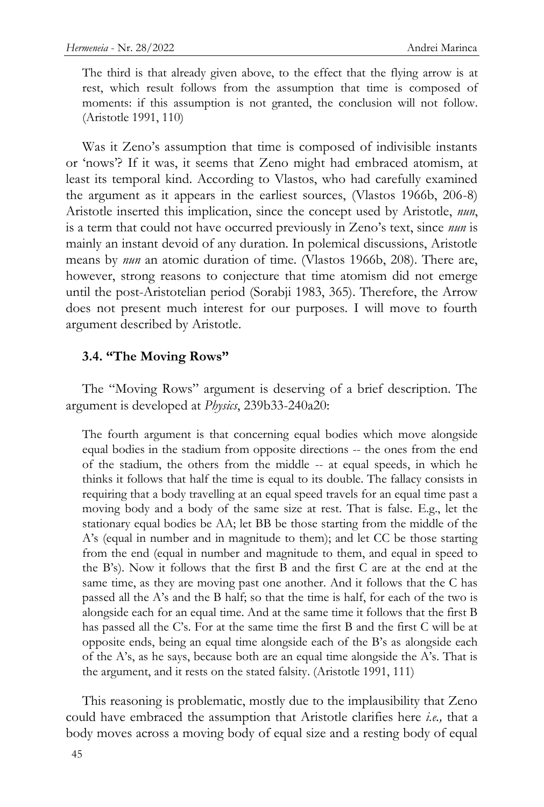The third is that already given above, to the effect that the flying arrow is at rest, which result follows from the assumption that time is composed of moments: if this assumption is not granted, the conclusion will not follow. (Aristotle 1991, 110)

Was it Zeno's assumption that time is composed of indivisible instants or "nows"? If it was, it seems that Zeno might had embraced atomism, at least its temporal kind. According to Vlastos, who had carefully examined the argument as it appears in the earliest sources, (Vlastos 1966b, 206-8) Aristotle inserted this implication, since the concept used by Aristotle, *nun*, is a term that could not have occurred previously in Zeno's text, since *nun* is mainly an instant devoid of any duration. In polemical discussions, Aristotle means by *nun* an atomic duration of time. (Vlastos 1966b, 208). There are, however, strong reasons to conjecture that time atomism did not emerge until the post-Aristotelian period (Sorabji 1983, 365). Therefore, the Arrow does not present much interest for our purposes. I will move to fourth argument described by Aristotle.

## **3.4. "The Moving Rows"**

The "Moving Rows" argument is deserving of a brief description. The argument is developed at *Physics*, 239b33-240a20:

The fourth argument is that concerning equal bodies which move alongside equal bodies in the stadium from opposite directions -- the ones from the end of the stadium, the others from the middle -- at equal speeds, in which he thinks it follows that half the time is equal to its double. The fallacy consists in requiring that a body travelling at an equal speed travels for an equal time past a moving body and a body of the same size at rest. That is false. E.g., let the stationary equal bodies be AA; let BB be those starting from the middle of the A"s (equal in number and in magnitude to them); and let CC be those starting from the end (equal in number and magnitude to them, and equal in speed to the B"s). Now it follows that the first B and the first C are at the end at the same time, as they are moving past one another. And it follows that the C has passed all the A"s and the B half; so that the time is half, for each of the two is alongside each for an equal time. And at the same time it follows that the first B has passed all the C's. For at the same time the first B and the first C will be at opposite ends, being an equal time alongside each of the B"s as alongside each of the A"s, as he says, because both are an equal time alongside the A"s. That is the argument, and it rests on the stated falsity. (Aristotle 1991, 111)

This reasoning is problematic, mostly due to the implausibility that Zeno could have embraced the assumption that Aristotle clarifies here *i.e.,* that a body moves across a moving body of equal size and a resting body of equal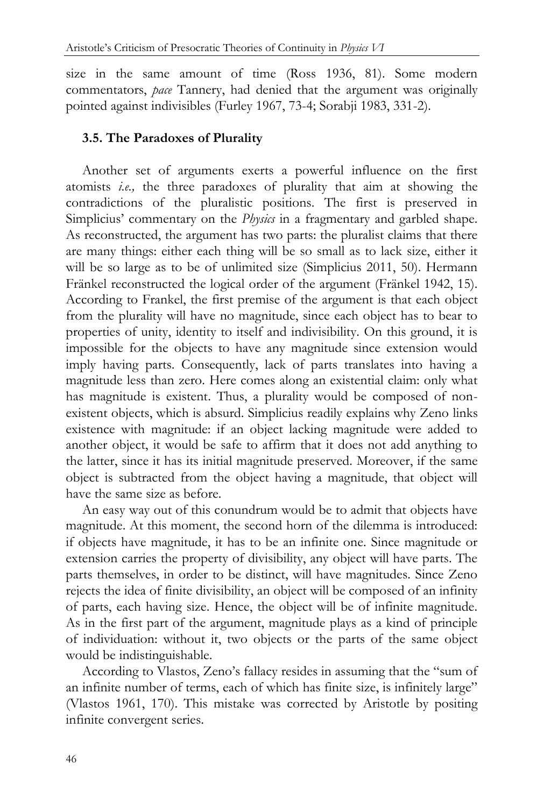size in the same amount of time (Ross 1936, 81). Some modern commentators, *pace* Tannery, had denied that the argument was originally pointed against indivisibles (Furley 1967, 73-4; Sorabji 1983, 331-2).

# **3.5. The Paradoxes of Plurality**

Another set of arguments exerts a powerful influence on the first atomists *i.e.,* the three paradoxes of plurality that aim at showing the contradictions of the pluralistic positions. The first is preserved in Simplicius' commentary on the *Physics* in a fragmentary and garbled shape. As reconstructed, the argument has two parts: the pluralist claims that there are many things: either each thing will be so small as to lack size, either it will be so large as to be of unlimited size (Simplicius 2011, 50). Hermann Fränkel reconstructed the logical order of the argument (Fränkel 1942, 15). According to Frankel, the first premise of the argument is that each object from the plurality will have no magnitude, since each object has to bear to properties of unity, identity to itself and indivisibility. On this ground, it is impossible for the objects to have any magnitude since extension would imply having parts. Consequently, lack of parts translates into having a magnitude less than zero. Here comes along an existential claim: only what has magnitude is existent. Thus, a plurality would be composed of nonexistent objects, which is absurd. Simplicius readily explains why Zeno links existence with magnitude: if an object lacking magnitude were added to another object, it would be safe to affirm that it does not add anything to the latter, since it has its initial magnitude preserved. Moreover, if the same object is subtracted from the object having a magnitude, that object will have the same size as before.

An easy way out of this conundrum would be to admit that objects have magnitude. At this moment, the second horn of the dilemma is introduced: if objects have magnitude, it has to be an infinite one. Since magnitude or extension carries the property of divisibility, any object will have parts. The parts themselves, in order to be distinct, will have magnitudes. Since Zeno rejects the idea of finite divisibility, an object will be composed of an infinity of parts, each having size. Hence, the object will be of infinite magnitude. As in the first part of the argument, magnitude plays as a kind of principle of individuation: without it, two objects or the parts of the same object would be indistinguishable.

According to Vlastos, Zeno's fallacy resides in assuming that the "sum of an infinite number of terms, each of which has finite size, is infinitely large" (Vlastos 1961, 170). This mistake was corrected by Aristotle by positing infinite convergent series.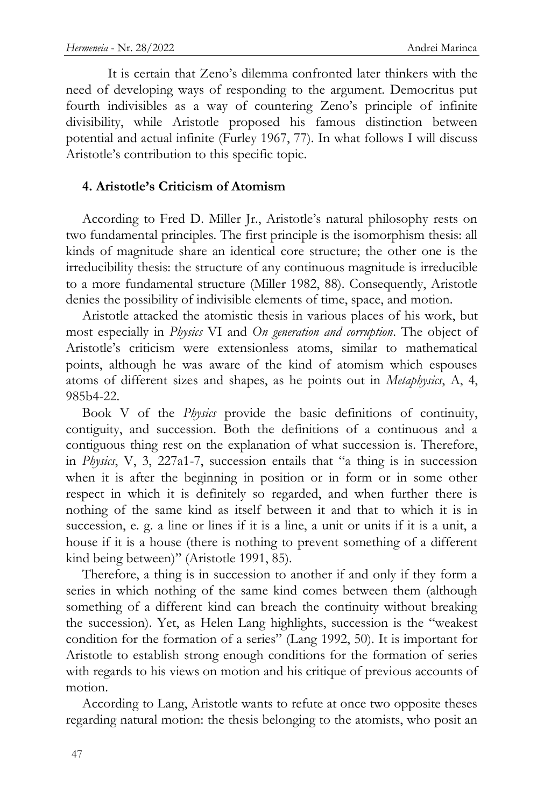It is certain that Zeno"s dilemma confronted later thinkers with the need of developing ways of responding to the argument. Democritus put fourth indivisibles as a way of countering Zeno"s principle of infinite divisibility, while Aristotle proposed his famous distinction between potential and actual infinite (Furley 1967, 77). In what follows I will discuss Aristotle"s contribution to this specific topic.

## **4. Aristotle's Criticism of Atomism**

According to Fred D. Miller Jr., Aristotle"s natural philosophy rests on two fundamental principles. The first principle is the isomorphism thesis: all kinds of magnitude share an identical core structure; the other one is the irreducibility thesis: the structure of any continuous magnitude is irreducible to a more fundamental structure (Miller 1982, 88). Consequently, Aristotle denies the possibility of indivisible elements of time, space, and motion.

Aristotle attacked the atomistic thesis in various places of his work, but most especially in *Physics* VI and *On generation and corruption*. The object of Aristotle"s criticism were extensionless atoms, similar to mathematical points, although he was aware of the kind of atomism which espouses atoms of different sizes and shapes, as he points out in *Metaphysics*, A, 4, 985b4-22.

Book V of the *Physics* provide the basic definitions of continuity, contiguity, and succession. Both the definitions of a continuous and a contiguous thing rest on the explanation of what succession is. Therefore, in *Physics*, V, 3, 227a1-7, succession entails that "a thing is in succession when it is after the beginning in position or in form or in some other respect in which it is definitely so regarded, and when further there is nothing of the same kind as itself between it and that to which it is in succession, e. g. a line or lines if it is a line, a unit or units if it is a unit, a house if it is a house (there is nothing to prevent something of a different kind being between)" (Aristotle 1991, 85).

Therefore, a thing is in succession to another if and only if they form a series in which nothing of the same kind comes between them (although something of a different kind can breach the continuity without breaking the succession). Yet, as Helen Lang highlights, succession is the "weakest condition for the formation of a series" (Lang 1992, 50). It is important for Aristotle to establish strong enough conditions for the formation of series with regards to his views on motion and his critique of previous accounts of motion.

According to Lang, Aristotle wants to refute at once two opposite theses regarding natural motion: the thesis belonging to the atomists, who posit an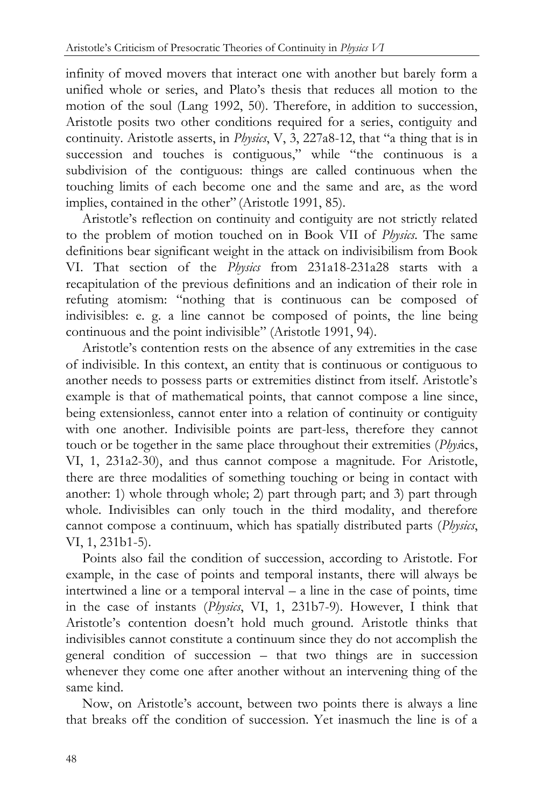infinity of moved movers that interact one with another but barely form a unified whole or series, and Plato's thesis that reduces all motion to the motion of the soul (Lang 1992, 50). Therefore, in addition to succession, Aristotle posits two other conditions required for a series, contiguity and continuity. Aristotle asserts, in *Physics*, V, 3, 227a8-12, that "a thing that is in succession and touches is contiguous," while "the continuous is a subdivision of the contiguous: things are called continuous when the touching limits of each become one and the same and are, as the word implies, contained in the other" (Aristotle 1991, 85).

Aristotle"s reflection on continuity and contiguity are not strictly related to the problem of motion touched on in Book VII of *Physics*. The same definitions bear significant weight in the attack on indivisibilism from Book VI. That section of the *Physics* from 231a18-231a28 starts with a recapitulation of the previous definitions and an indication of their role in refuting atomism: "nothing that is continuous can be composed of indivisibles: e. g. a line cannot be composed of points, the line being continuous and the point indivisible" (Aristotle 1991, 94).

Aristotle"s contention rests on the absence of any extremities in the case of indivisible. In this context, an entity that is continuous or contiguous to another needs to possess parts or extremities distinct from itself. Aristotle"s example is that of mathematical points, that cannot compose a line since, being extensionless, cannot enter into a relation of continuity or contiguity with one another. Indivisible points are part-less, therefore they cannot touch or be together in the same place throughout their extremities (*Phys*ics, VI, 1, 231a2-30), and thus cannot compose a magnitude. For Aristotle, there are three modalities of something touching or being in contact with another: 1) whole through whole; 2) part through part; and 3) part through whole. Indivisibles can only touch in the third modality, and therefore cannot compose a continuum, which has spatially distributed parts (*Physics*, VI, 1, 231b1-5).

Points also fail the condition of succession, according to Aristotle. For example, in the case of points and temporal instants, there will always be intertwined a line or a temporal interval – a line in the case of points, time in the case of instants (*Physics*, VI, 1, 231b7-9). However, I think that Aristotle"s contention doesn"t hold much ground. Aristotle thinks that indivisibles cannot constitute a continuum since they do not accomplish the general condition of succession – that two things are in succession whenever they come one after another without an intervening thing of the same kind.

Now, on Aristotle"s account, between two points there is always a line that breaks off the condition of succession. Yet inasmuch the line is of a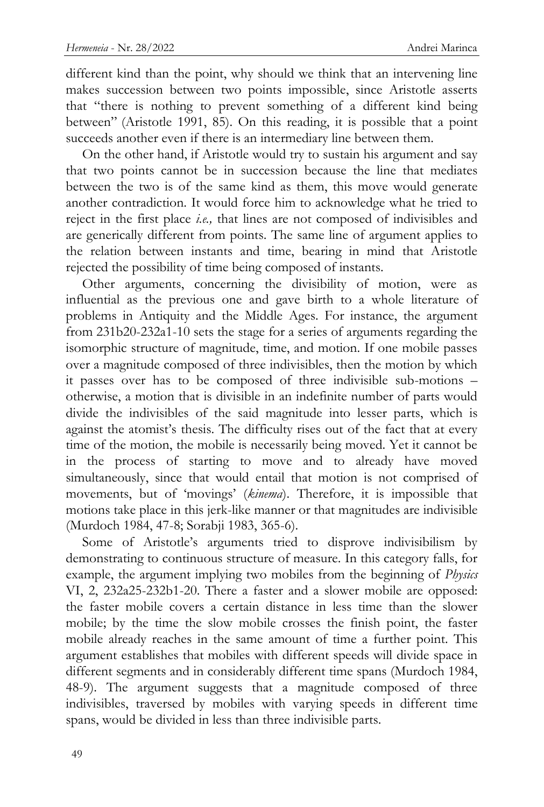different kind than the point, why should we think that an intervening line makes succession between two points impossible, since Aristotle asserts that "there is nothing to prevent something of a different kind being between" (Aristotle 1991, 85). On this reading, it is possible that a point succeeds another even if there is an intermediary line between them.

On the other hand, if Aristotle would try to sustain his argument and say that two points cannot be in succession because the line that mediates between the two is of the same kind as them, this move would generate another contradiction. It would force him to acknowledge what he tried to reject in the first place *i.e.,* that lines are not composed of indivisibles and are generically different from points. The same line of argument applies to the relation between instants and time, bearing in mind that Aristotle rejected the possibility of time being composed of instants.

Other arguments, concerning the divisibility of motion, were as influential as the previous one and gave birth to a whole literature of problems in Antiquity and the Middle Ages. For instance, the argument from 231b20-232a1-10 sets the stage for a series of arguments regarding the isomorphic structure of magnitude, time, and motion. If one mobile passes over a magnitude composed of three indivisibles, then the motion by which it passes over has to be composed of three indivisible sub-motions – otherwise, a motion that is divisible in an indefinite number of parts would divide the indivisibles of the said magnitude into lesser parts, which is against the atomist's thesis. The difficulty rises out of the fact that at every time of the motion, the mobile is necessarily being moved. Yet it cannot be in the process of starting to move and to already have moved simultaneously, since that would entail that motion is not comprised of movements, but of "movings" (*kinema*). Therefore, it is impossible that motions take place in this jerk-like manner or that magnitudes are indivisible (Murdoch 1984, 47-8; Sorabji 1983, 365-6).

Some of Aristotle"s arguments tried to disprove indivisibilism by demonstrating to continuous structure of measure. In this category falls, for example, the argument implying two mobiles from the beginning of *Physics* VI, 2, 232a25-232b1-20. There a faster and a slower mobile are opposed: the faster mobile covers a certain distance in less time than the slower mobile; by the time the slow mobile crosses the finish point, the faster mobile already reaches in the same amount of time a further point. This argument establishes that mobiles with different speeds will divide space in different segments and in considerably different time spans (Murdoch 1984, 48-9). The argument suggests that a magnitude composed of three indivisibles, traversed by mobiles with varying speeds in different time spans, would be divided in less than three indivisible parts.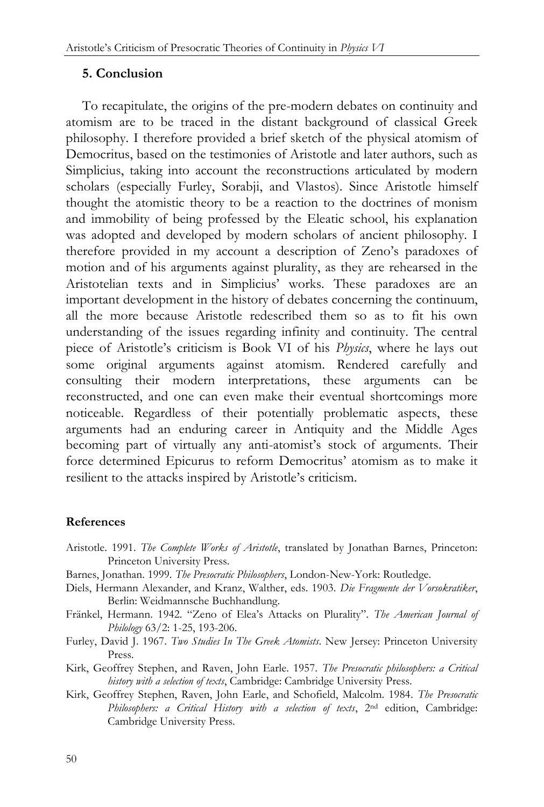# **5. Conclusion**

To recapitulate, the origins of the pre-modern debates on continuity and atomism are to be traced in the distant background of classical Greek philosophy. I therefore provided a brief sketch of the physical atomism of Democritus, based on the testimonies of Aristotle and later authors, such as Simplicius, taking into account the reconstructions articulated by modern scholars (especially Furley, Sorabji, and Vlastos). Since Aristotle himself thought the atomistic theory to be a reaction to the doctrines of monism and immobility of being professed by the Eleatic school, his explanation was adopted and developed by modern scholars of ancient philosophy. I therefore provided in my account a description of Zeno"s paradoxes of motion and of his arguments against plurality, as they are rehearsed in the Aristotelian texts and in Simplicius' works. These paradoxes are an important development in the history of debates concerning the continuum, all the more because Aristotle redescribed them so as to fit his own understanding of the issues regarding infinity and continuity. The central piece of Aristotle"s criticism is Book VI of his *Physics*, where he lays out some original arguments against atomism. Rendered carefully and consulting their modern interpretations, these arguments can be reconstructed, and one can even make their eventual shortcomings more noticeable. Regardless of their potentially problematic aspects, these arguments had an enduring career in Antiquity and the Middle Ages becoming part of virtually any anti-atomist's stock of arguments. Their force determined Epicurus to reform Democritus' atomism as to make it resilient to the attacks inspired by Aristotle"s criticism.

# **References**

- Aristotle. 1991. *The Complete Works of Aristotle*, translated by Jonathan Barnes, Princeton: Princeton University Press.
- Barnes, Jonathan. 1999. *The Presocratic Philosophers*, London-New-York: Routledge.
- Diels, Hermann Alexander, and Kranz, Walther, eds. 1903. *Die Fragmente der Vorsokratiker*, Berlin: Weidmannsche Buchhandlung.
- Fränkel, Hermann. 1942. "Zeno of Elea"s Attacks on Plurality". *The American Journal of Philology* 63/2: 1-25, 193-206.
- Furley, David J. 1967. *Two Studies In The Greek Atomists*. New Jersey: Princeton University Press.
- Kirk, Geoffrey Stephen, and Raven, John Earle. 1957. *The Presocratic philosophers: a Critical history with a selection of texts*, Cambridge: Cambridge University Press.
- Kirk, Geoffrey Stephen, Raven, John Earle, and Schofield, Malcolm. 1984. *The Presocratic Philosophers: a Critical History with a selection of texts*, 2nd edition, Cambridge: Cambridge University Press.